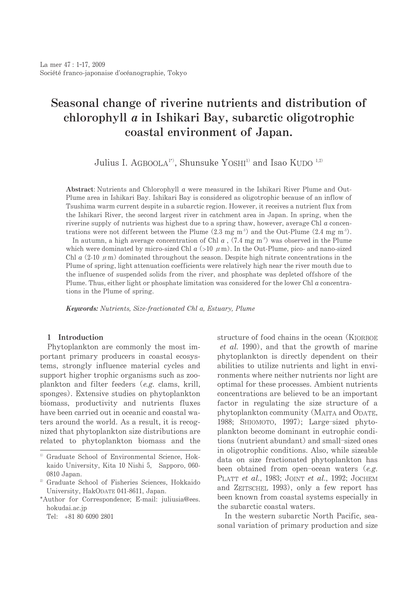# Seasonal change of riverine nutrients and distribution of chlorophyll *a* in Ishikari Bay, subarctic oligotrophic coastal environment of Japan.

Julius I. AGBOOLA<sup>1\*</sup>, Shunsuke YOSHI<sup>1)</sup> and Isao KUDO<sup>1,2)</sup>

Abstract: Nutrients and Chlorophyll  $a$  were measured in the Ishikari River Plume and Out-Plume area in Ishikari Bay. Ishikari Bay is considered as oligotrophic because of an inflow of Tsushima warm current despite in a subarctic region. However, it receives a nutrient flux from the Ishikari River, the second largest river in catchment area in Japan. In spring, when the riverine supply of nutrients was highest due to a spring thaw, however, average Chl  $a$  concentrations were not different between the Plume  $(2.3 \text{ mg m}^3)$  and the Out-Plume  $(2.4 \text{ mg m}^3)$ .

In autumn, a high average concentration of Chl  $a$ , (7.4 mg m<sup>3</sup>) was observed in the Plume which were dominated by micro-sized Chl  $a$  (>10  $\mu$ m). In the Out-Plume, pico- and nano-sized Chl a  $(2-10 \mu m)$  dominated throughout the season. Despite high nitrate concentrations in the Plume of spring, light attenuation coefficients were relatively high near the river mouth due to the influence of suspended solids from the river, and phosphate was depleted offshore of the Plume. Thus, either light or phosphate limitation was considered for the lower Chl  $a$  concentrations in the Plume of spring.

Keywords: Nutrients, Size-fractionated Chl a, Estuary, Plume

## 1 Introduction

Phytoplankton are commonly the most important primary producers in coastal ecosystems, strongly influence material cycles and support higher trophic organisms such as zooplankton and filter feeders (e.g. clams, krill, sponges). Extensive studies on phytoplankton biomass, productivity and nutrients fluxes have been carried out in oceanic and coastal waters around the world. As a result, it is recognized that phytoplankton size distributions are related to phytoplankton biomass and the

structure of food chains in the ocean (KIORBOE *et al.* 1990), and that the growth of marine phytoplankton is directly dependent on their abilities to utilize nutrients and light in environments where neither nutrients nor light are optimal for these processes. Ambient nutrients concentrations are believed to be an important factor in regulating the size structure of a phytoplankton community (MAITA and ODATE, 1988; SHIOMOTO, 1997); Large-sized phytoplankton become dominant in eutrophic conditions (nutrient abundant) and small-sized ones in oligotrophic conditions. Also, while sizeable data on size fractionated phytoplankton has been obtained from open-ocean waters  $(e.g.,\)$ PLATT et al., 1983; JOINT et al., 1992; JOCHEM and ZEITSCHEL 1993), only a few report has been known from coastal systems especially in the subarctic coastal waters.

In the western subarctic North Pacific, seasonal variation of primary production and size

<sup>&</sup>lt;sup>1)</sup> Graduate School of Environmental Science, Hokkaido University, Kita 10 Nishi 5, Sapporo, 060-0810 Japan.

<sup>&</sup>lt;sup>2)</sup> Graduate School of Fisheries Sciences, Hokkaido University, HakODATE 041-8611, Japan.

<sup>\*</sup>Author for Correspondence; E-mail: juliusia@ees. hokudai.ac.jp

Tel: +81 80 6090 2801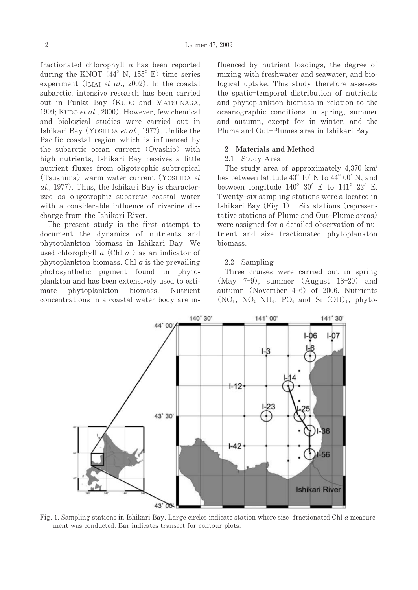fractionated chlorophyll  $\alpha$  has been reported during the KNOT  $(44^{\circ}$  N,  $155^{\circ}$  E) time-series experiment (IMAI et al., 2002). In the coastal subarctic, intensive research has been carried out in Funka Bay (KUDO and MATSUNAGA, 1999; KUDO et al., 2000). However, few chemical and biological studies were carried out in Ishikari Bay (YOSHIDA et al., 1977). Unlike the Pacific coastal region which is influenced by the subarctic ocean current (Oyashio) with high nutrients, Ishikari Bay receives a little nutrient fluxes from oligotrophic subtropical (Tsushima) warm water current (YOSHIDA et al., 1977). Thus, the Ishikari Bay is characterized as oligotrophic subarctic coastal water with a considerable influence of riverine discharge from the Ishikari River.

The present study is the first attempt to document the dynamics of nutrients and phytoplankton biomass in Ishikari Bay. We used chlorophyll  $a$  (Chl  $a$ ) as an indicator of phytoplankton biomass. Chl  $a$  is the prevailing photosynthetic pigment found in phytoplankton and has been extensively used to estimate phytoplankton biomass. Nutrient concentrations in a coastal water body are influenced by nutrient loadings, the degree of mixing with freshwater and seawater, and biological uptake. This study therefore assesses the spatio-temporal distribution of nutrients and phytoplankton biomass in relation to the oceanographic conditions in spring, summer and autumn, except for in winter, and the Plume and Out-Plumes area in Ishikari Bay.

#### 2 Materials and Method

#### 2.1 Study Area

The study area of approximately  $4,370 \text{ km}^2$ lies between latitude 43° 10' N to 44° 00' N, and between longitude  $140^{\circ}$  30' E to  $141^{\circ}$  22' E. Twenty-six sampling stations were allocated in Ishikari Bay (Fig. 1). Six stations (representative stations of Plume and Out-Plume areas) were assigned for a detailed observation of nutrient and size fractionated phytoplankton biomass.

## 2.2 Sampling

Three cruises were carried out in spring (May  $7-9$ ), summer (August  $18-20$ ) and autumn (November 4-6) of 2006. Nutrients  $(NO_3, NO_2 NH_4, PO_4$  and Si  $(OH)_4$ , phyto-



Fig. 1. Sampling stations in Ishikari Bay, Large circles indicate station where size-fractionated Chl  $\alpha$  measurement was conducted. Bar indicates transect for contour plots.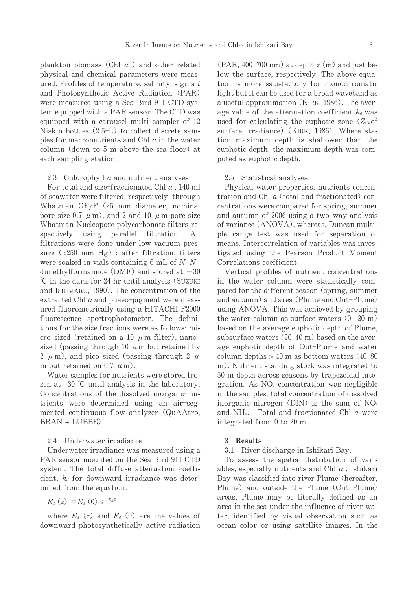plankton biomass (Chl  $a$ ) and other related physical and chemical parameters were measured. Profiles of temperature, salinity, sigma  $t$ and Photosynthetic Active Radiation (PAR) were measured using a Sea Bird 911 CTD system equipped with a PAR sensor. The CTD was equipped with a carousel multi-sampler of 12 Niskin bottles  $(2.5-L)$  to collect discrete samples for macronutrients and Chl  $a$  in the water column (down to 5 m above the sea floor) at each sampling station.

2.3 Chlorophyll  $a$  and nutrient analyses

For total and size-fractionated Chl  $a$ , 140 ml of seawater were filtered, respectively, through Whatman GF/F (25 mm diameter, nominal pore size 0.7  $\mu$  m), and 2 and 10  $\mu$  m pore size Whatman Nucleopore polycarbonate filters reusing parallel filtration. spectively – All filtrations were done under low vacuum pressure  $\left( <250 \right)$  mm Hg); after filtration, filters were soaked in vials containing 6 mL of  $N$ ,  $N^$ dimethylformamide (DMF) and stored at  $-30$ °C in the dark for 24 hr until analysis (SUZUKI and ISHIMARU, 1990). The concentration of the extracted Chl  $a$  and phaeo-pigment were measured fluorometrically using a HITACHI F2000 fluorescence spectrophotometer. The definitions for the size fractions were as follows: micro-sized (retained on a 10  $\mu$  m filter), nanosized (passing through 10  $\mu$  m but retained by 2  $\mu$  m), and pico-sized (passing through 2  $\mu$ ) m but retained on 0.7  $\mu$ m).

Water samples for nutrients were stored frozen at  $-30$  °C until analysis in the laboratory. Concentrations of the dissolved inorganic nutrients were determined using an air-segmented continuous flow analyzer (QuAAtro, BRAN + LUBBE).

## 2.4 Underwater irradiance

Underwater irradiance was measured using a PAR sensor mounted on the Sea Bird 911 CTD system. The total diffuse attenuation coefficient,  $k_d$  for downward irradiance was determined from the equation:

 $E_{d}(z) = E_{d}(0) e^{-k_{d}z}$ 

where  $E_d(z)$  and  $E_d(0)$  are the values of downward photosynthetically active radiation  $(PAR, 400-700 \text{ nm})$  at depth  $z(m)$  and just below the surface, respectively. The above equation is more satisfactory for monochromatic light but it can be used for a broad waveband as a useful approximation (KIRK, 1986). The average value of the attenuation coefficient  $k_d$  was used for calculating the euphotic zone  $(Z_{1\%}$  of surface irradiance) (KIRK, 1986). Where station maximum depth is shallower than the euphotic depth, the maximum depth was computed as euphotic depth.

#### 2.5 Statistical analyses

Physical water properties, nutrients concentration and Chl  $a$  (total and fractionated) concentrations were compared for spring, summer and autumn of 2006 using a two-way analysis of variance (ANOVA), whereas, Duncan multiple range test was used for separation of means. Intercorrelation of variables was investigated using the Pearson Product Moment Correlations coefficient.

Vertical profiles of nutrient concentrations in the water column were statistically compared for the different season (spring, summer and autumn) and area (Plume and Out-Plume) using ANOVA. This was achieved by grouping the water column as surface waters  $(0-20 \text{ m})$ based on the average euphotic depth of Plume. subsurface waters (20-40 m) based on the average euphotic depth of Out-Plume and water column depths  $> 40$  m as bottom waters  $(40-80)$ m). Nutrient standing stock was integrated to 50 m depth across seasons by trapezoidal integration. As  $NO<sub>2</sub>$  concentration was negligible in the samples, total concentration of dissolved inorganic nitrogen (DIN) is the sum of  $NO<sub>3</sub>$ and  $NH_4$ . Total and fractionated Chl  $a$  were integrated from 0 to 20 m.

## 3 Results

3.1 River discharge in Ishikari Bay.

To assess the spatial distribution of variables, especially nutrients and Chl  $a$ , Ishikari Bay was classified into river Plume (hereafter, Plume) and outside the Plume (Out-Plume) areas. Plume may be literally defined as an area in the sea under the influence of river water, identified by visual observation such as ocean color or using satellite images. In the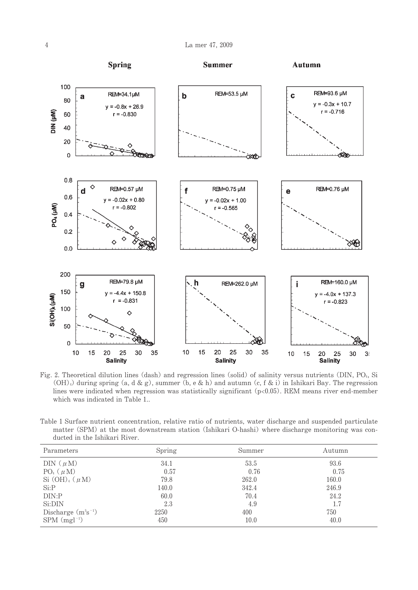

Fig. 2. Theoretical dilution lines (dash) and regression lines (solid) of salinity versus nutrients (DIN, PO4, Si  $(OH)_4$ ) during spring (a, d & g), summer (b, e & h) and autumn (c, f & i) in Ishikari Bay. The regression lines were indicated when regression was statistically significant  $(p<0.05)$ . REM means river end-member which was indicated in Table 1..

|  |  |  |                               | Table 1 Surface nutrient concentration, relative ratio of nutrients, water discharge and suspended particulate |  |  |  |  |  |  |  |  |
|--|--|--|-------------------------------|----------------------------------------------------------------------------------------------------------------|--|--|--|--|--|--|--|--|
|  |  |  |                               | matter (SPM) at the most downstream station (Ishikari O-hashi) where discharge monitoring was con-             |  |  |  |  |  |  |  |  |
|  |  |  | ducted in the Ishikari River. |                                                                                                                |  |  |  |  |  |  |  |  |

| Parameters                 | Spring | Summer | Autumn |
|----------------------------|--------|--------|--------|
| DIN $(\mu M)$              | 34.1   | 53.5   | 93.6   |
| $PO_4(\mu M)$              | 0.57   | 0.76   | 0.75   |
| Si $(OH)_4$ ( $\mu$ M)     | 79.8   | 262.0  | 160.0  |
| $Si$ : $P$                 | 140.0  | 342.4  | 246.9  |
| DIN:P                      | 60.0   | 70.4   | 24.2   |
| Si:DIN                     | 2.3    | 4.9    | 1.7    |
| Discharge $(m^3s^{-1})$    | 2250   | 400    | 750    |
| $SPM$ (mgl <sup>-1</sup> ) | 450    | 10.0   | 40.0   |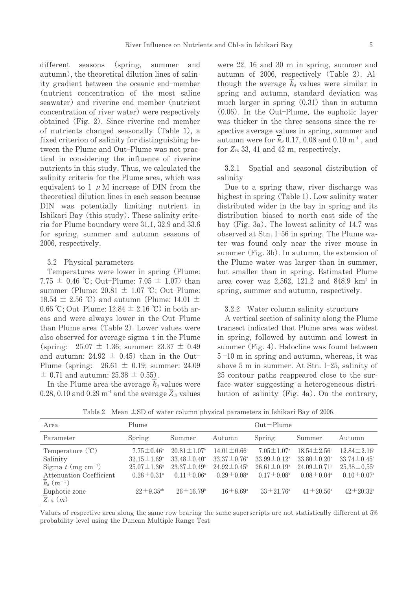different seasons (spring, summer and autumn), the theoretical dilution lines of salinity gradient between the oceanic end-member (nutrient concentration of the most saline seawater) and riverine end-member (nutrient concentration of river water) were respectively obtained (Fig. 2). Since riverine end-member of nutrients changed seasonally (Table 1), a fixed criterion of salinity for distinguishing between the Plume and Out-Plume was not practical in considering the influence of riverine nutrients in this study. Thus, we calculated the salinity criteria for the Plume area, which was equivalent to 1  $\mu$  M increase of DIN from the theoretical dilution lines in each season because DIN was potentially limiting nutrient in Ishikari Bay (this study). These salinity criteria for Plume boundary were 31.1, 32.9 and 33.6 for spring, summer and autumn seasons of 2006, respectively.

#### 3.2 Physical parameters

Temperatures were lower in spring (Plume: 7.75  $\pm$  0.46 °C; Out-Plume: 7.05  $\pm$  1.07) than summer (Plume:  $20.81 \pm 1.07$  °C; Out-Plume: 18.54  $\pm$  2.56 °C) and autumn (Plume: 14.01  $\pm$ 0.66 °C; Out-Plume:  $12.84 \pm 2.16$  °C) in both areas and were always lower in the Out-Plume than Plume area (Table 2). Lower values were also observed for average sigma-t in the Plume (spring:  $25.07 \pm 1.36$ ; summer:  $23.37 \pm 0.49$ and autumn:  $24.92 \pm 0.45$  than in the Out-Plume (spring:  $26.61 \pm 0.19$ ; summer: 24.09  $\pm$  0.71 and autumn: 25.38  $\pm$  0.55).

In the Plume area the average  $k_d$  values were 0.28, 0.10 and 0.29  $m^{-1}$  and the average  $Z_{1\%}$  values were 22, 16 and 30 m in spring, summer and autumn of 2006, respectively (Table 2). Although the average  $k_d$  values were similar in spring and autumn, standard deviation was much larger in spring  $(0.31)$  than in autumn  $(0.06)$ . In the Out-Plume, the euphotic layer was thicker in the three seasons since the respective average values in spring, summer and autumn were for  $k_d$  0.17, 0.08 and 0.10  $m^{-1}$ , and for  $Z_{18}$  33, 41 and 42 m, respectively.

Spatial and seasonal distribution of  $3.2.1$ salinity

Due to a spring thaw, river discharge was highest in spring (Table 1). Low salinity water distributed wider in the bay in spring and its distribution biased to north-east side of the bay (Fig. 3a). The lowest salinity of 14.7 was observed at Stn. I-56 in spring. The Plume water was found only near the river mouse in summer (Fig. 3b). In autumn, the extension of the Plume water was larger than in summer, but smaller than in spring. Estimated Plume area cover was  $2,562$ , 121.2 and 848.9 km<sup>2</sup> in spring, summer and autumn, respectively.

## 3.2.2 Water column salinity structure

A vertical section of salinity along the Plume transect indicated that Plume area was widest in spring, followed by autumn and lowest in summer (Fig. 4). Halocline was found between  $5-10$  m in spring and autumn, whereas, it was above 5 m in summer. At Stn. I-25, salinity of 25 contour paths reappeared close to the surface water suggesting a heterogeneous distribution of salinity (Fig. 4a). On the contrary,

Table 2 Mean  $\pm$ SD of water column physical parameters in Ishikari Bay of 2006.

| Area                                              | Plume                                                |                                                      |                                                      | $Out-Plume$                                               |                                                           |                                                           |
|---------------------------------------------------|------------------------------------------------------|------------------------------------------------------|------------------------------------------------------|-----------------------------------------------------------|-----------------------------------------------------------|-----------------------------------------------------------|
| Parameter                                         | Spring                                               | Summer                                               | Autumn                                               | Spring                                                    | Summer                                                    | Autumn                                                    |
| Temperature $({}^{\circ}\mathbb{C})$              | $7.75 \pm 0.46^{\circ}$                              | $20.81 \pm 1.07$ <sup>b</sup>                        | $14.01 \pm 0.66^{\circ}$                             | $7.05 \pm 1.07^{\circ}$                                   | $18.54 \pm 2.56^{\circ}$                                  | $12.84 \pm 2.16^{\circ}$                                  |
| Salinity<br>Sigma $t$ (mg cm <sup>-3</sup> )      | $32.15 \pm 1.69^{\circ}$<br>$25.07 \pm 1.36^{\circ}$ | $33.48 \pm 0.40^{\circ}$<br>$23.37 \pm 0.49^{\circ}$ | $33.37 \pm 0.76^{\circ}$<br>$24.92 \pm 0.45^{\circ}$ | $33.99 \pm 0.12$ <sup>a</sup><br>$26.61 \pm 0.19^{\circ}$ | $33.80 \pm 0.20^{\circ}$<br>$24.09 \pm 0.71$ <sup>b</sup> | $33.74 \pm 0.45^{\circ}$<br>$25.38 \pm 0.55$ <sup>c</sup> |
| Attenuation Coefficient                           | $0.28 \pm 0.31^{\circ}$                              | $0.11 \pm 0.06^{\circ}$                              | $0.29 \pm 0.08^{\circ}$                              | $0.17 \pm 0.08^{\circ}$                                   | $0.08 \pm 0.04^{\circ}$                                   | $0.10 \pm 0.07^{\circ}$                                   |
| $k_d$ $(m^{-1})$<br>Euphotic zone<br>$Z_{1\%}(m)$ | $22 \pm 9.35^{\rm ab}$                               | $26 \pm 16.79^{\circ}$                               | $16 \pm 8.69^{\circ}$                                | $33 \pm 21.76^{\circ}$                                    | $41 \pm 20.56^{\circ}$                                    | $42 \pm 20.32^{\circ}$                                    |

Values of respective area along the same row bearing the same superscripts are not statistically different at 5% probability level using the Duncan Multiple Range Test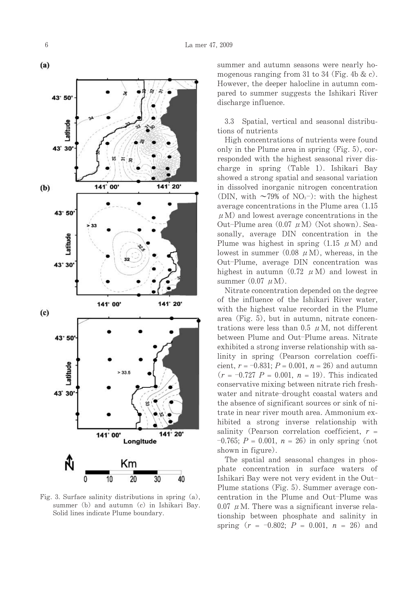

Fig. 3. Surface salinity distributions in spring  $(a)$ , summer (b) and autumn (c) in Ishikari Bay. Solid lines indicate Plume boundary.

summer and autumn seasons were nearly homogenous ranging from 31 to 34 (Fig. 4b & c). However, the deeper halocline in autumn compared to summer suggests the Ishikari River discharge influence.

Spatial, vertical and seasonal distribu-3.3 tions of nutrients

High concentrations of nutrients were found only in the Plume area in spring (Fig. 5), corresponded with the highest seasonal river discharge in spring (Table 1). Ishikari Bay showed a strong spatial and seasonal variation in dissolved inorganic nitrogen concentration (DIN, with  $\sim$ 79% of NO<sub>3</sub>-): with the highest average concentrations in the Plume area (1.15)  $\mu$  M) and lowest average concentrations in the Out-Plume area  $(0.07 \mu M)$  (Not shown). Seasonally, average DIN concentration in the Plume was highest in spring  $(1.15 \mu M)$  and lowest in summer  $(0.08 \mu M)$ , whereas, in the Out-Plume, average DIN concentration was highest in autumn  $(0.72 \mu M)$  and lowest in summer  $(0.07 \mu M)$ .

Nitrate concentration depended on the degree of the influence of the Ishikari River water. with the highest value recorded in the Plume area (Fig. 5), but in autumn, nitrate concentrations were less than 0.5  $\mu$  M, not different between Plume and Out-Plume areas. Nitrate exhibited a strong inverse relationship with salinity in spring (Pearson correlation coefficient,  $r = -0.831$ ;  $P = 0.001$ ,  $n = 26$ ) and autumn  $(r = -0.727 P = 0.001, n = 19)$ . This indicated conservative mixing between nitrate rich freshwater and nitrate-drought coastal waters and the absence of significant sources or sink of nitrate in near river mouth area. Ammonium exhibited a strong inverse relationship with salinity (Pearson correlation coefficient,  $r =$  $-0.765$ ;  $P = 0.001$ ,  $n = 26$  in only spring (not shown in figure).

The spatial and seasonal changes in phosphate concentration in surface waters of Ishikari Bay were not very evident in the Out-Plume stations (Fig. 5). Summer average concentration in the Plume and Out-Plume was 0.07  $\mu$  M. There was a significant inverse relationship between phosphate and salinity in spring  $(r = -0.802; P = 0.001, n = 26)$  and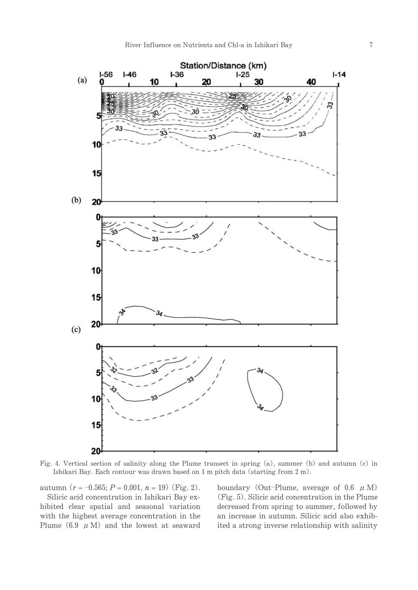

Fig. 4. Vertical section of salinity along the Plume transect in spring (a), summer (b) and autumn (c) in Ishikari Bay. Each contour was drawn based on 1 m pitch data (starting from 2 m).

autumn  $(r = -0.565; P = 0.001, n = 19)$  (Fig. 2).

Silicic acid concentration in Ishikari Bay exhibited clear spatial and seasonal variation with the highest average concentration in the Plume (6.9  $\mu$  M) and the lowest at seaward boundary (Out-Plume, average of 0.6  $\mu$  M) (Fig. 5). Silicic acid concentration in the Plume decreased from spring to summer, followed by an increase in autumn. Silicic acid also exhibited a strong inverse relationship with salinity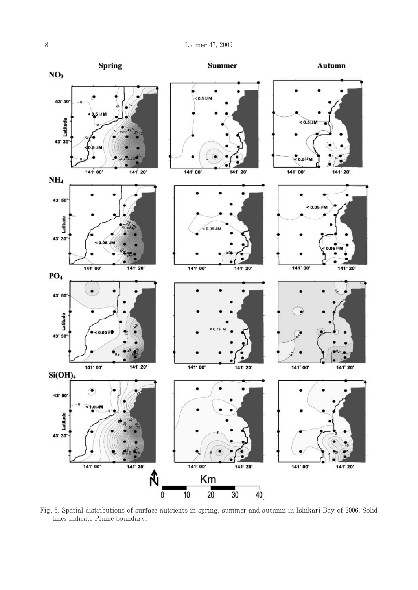

Fig. 5. Spatial distributions of surface nutrients in spring, summer and autumn in Ishikari Bay of 2006. Solid lines indicate Plume boundary.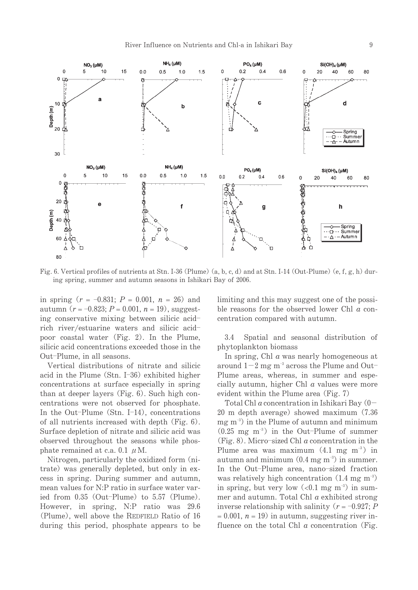

Fig. 6. Vertical profiles of nutrients at Stn. I-36 (Plume) (a, b, c, d) and at Stn. I-14 (Out-Plume) (e, f, g, h) during spring, summer and autumn seasons in Ishikari Bay of 2006.

in spring  $(r = -0.831; P = 0.001, n = 26)$  and autumn  $(r = -0.823; P = 0.001, n = 19)$ , suggesting conservative mixing between silicic acidrich river/estuarine waters and silicic acidpoor coastal water (Fig. 2). In the Plume, silicic acid concentrations exceeded those in the Out-Plume, in all seasons.

Vertical distributions of nitrate and silicic acid in the Plume  $(Stn. I-36)$  exhibited higher concentrations at surface especially in spring than at deeper layers (Fig. 6). Such high concentrations were not observed for phosphate. In the Out-Plume (Stn. I-14), concentrations of all nutrients increased with depth (Fig. 6). Surface depletion of nitrate and silicic acid was observed throughout the seasons while phosphate remained at c.a. 0.1  $\mu$  M.

Nitrogen, particularly the oxidized form (nitrate) was generally depleted, but only in excess in spring. During summer and autumn, mean values for N:P ratio in surface water varied from 0.35 (Out-Plume) to 5.57 (Plume). However, in spring, N:P ratio was 29.6 (Plume), well above the REDFIELD Ratio of 16 during this period, phosphate appears to be limiting and this may suggest one of the possible reasons for the observed lower Chl  $a$  concentration compared with autumn.

3.4 Spatial and seasonal distribution of phytoplankton biomass

In spring, Chl  $\alpha$  was nearly homogeneous at around  $1-2$  mg m<sup>-3</sup> across the Plume and Out-Plume areas, whereas, in summer and especially autumn, higher Chl  $a$  values were more evident within the Plume area (Fig. 7)

Total Chl  $a$  concentration in Ishikari Bay  $(0 -$ 20 m depth average) showed maximum (7.36  $mg \text{ m}^{-3}$  in the Plume of autumn and minimum  $(0.25 \text{ mg } \text{m}^{-3})$  in the Out-Plume of summer (Fig. 8). Micro-sized Chl  $a$  concentration in the Plume area was maximum  $(4.1 \text{ m/s m}^{-3})$  in autumn and minimum  $(0.4 \text{ mg m}^{-3})$  in summer. In the Out-Plume area, nano-sized fraction was relatively high concentration  $(1.4 \text{ mg m}^{-3})$ in spring, but very low  $( $0.1 \text{ mg m}^{-3}$ )$  in summer and autumn. Total Chl  $a$  exhibited strong inverse relationship with salinity  $(r = -0.927; P)$  $= 0.001$ ,  $n = 19$  in autumn, suggesting river influence on the total Chl  $\alpha$  concentration (Fig.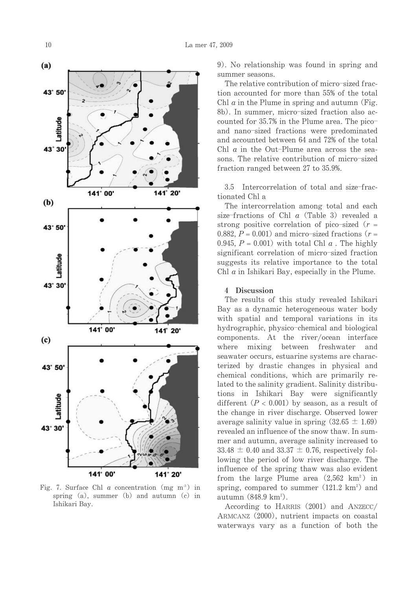

Fig. 7. Surface Chl a concentration (mg m<sup>3</sup>) in spring  $(a)$ , summer  $(b)$  and autumn  $(c)$  in Ishikari Bay.

9). No relationship was found in spring and summer seasons.

The relative contribution of micro-sized fraction accounted for more than 55% of the total Chl  $a$  in the Plume in spring and autumn (Fig. 8b). In summer, micro-sized fraction also accounted for 35.7% in the Plume area. The picoand nano-sized fractions were predominated and accounted between 64 and 72% of the total Chl  $\alpha$  in the Out-Plume area across the seasons. The relative contribution of micro-sized fraction ranged between 27 to 35.9%.

3.5 Intercorrelation of total and size-fractionated Chl a

The intercorrelation among total and each size-fractions of Chl  $a$  (Table 3) revealed a strong positive correlation of pico-sized  $(r =$ 0.882,  $P = 0.001$  and micro-sized fractions ( $r =$ 0.945,  $P = 0.001$ ) with total Chl  $\alpha$ . The highly significant correlation of micro-sized fraction suggests its relative importance to the total Chl  $a$  in Ishikari Bay, especially in the Plume.

#### 4 Discussion

The results of this study revealed Ishikari Bay as a dynamic heterogeneous water body with spatial and temporal variations in its hydrographic, physico-chemical and biological components. At the river/ocean interface where hetween freshwater mixing and seawater occurs, estuarine systems are characterized by drastic changes in physical and chemical conditions, which are primarily related to the salinity gradient. Salinity distributions in Ishikari Bay were significantly different  $(P < 0.001)$  by season, as a result of the change in river discharge. Observed lower average salinity value in spring  $(32.65 \pm 1.69)$ revealed an influence of the snow thaw. In summer and autumn, average salinity increased to 33.48  $\pm$  0.40 and 33.37  $\pm$  0.76, respectively following the period of low river discharge. The influence of the spring thaw was also evident from the large Plume area  $(2,562 \text{ km}^2)$  in spring, compared to summer  $(121.2 \text{ km}^2)$  and autumn  $(848.9 \text{ km}^2)$ .

According to HARRIS (2001) and ANZECC/ ARMCANZ (2000), nutrient impacts on coastal waterways vary as a function of both the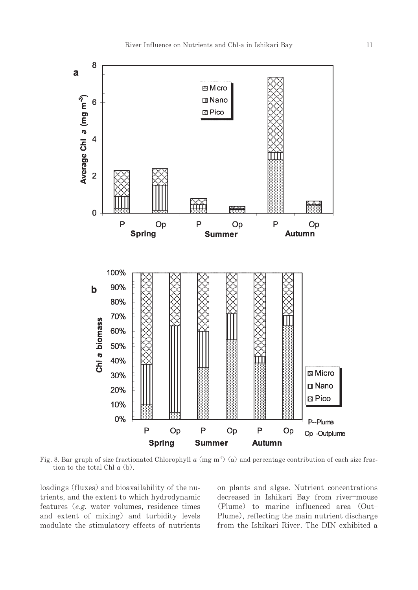

Fig. 8. Bar graph of size fractionated Chlorophyll  $a$  (mg m<sup>3</sup>) (a) and percentage contribution of each size fraction to the total Chl  $a$  (b).

loadings (fluxes) and bioavailability of the nutrients, and the extent to which hydrodynamic features  $(e.g.$  water volumes, residence times and extent of mixing) and turbidity levels modulate the stimulatory effects of nutrients on plants and algae. Nutrient concentrations decreased in Ishikari Bay from river-mouse (Plume) to marine influenced area (Out-Plume), reflecting the main nutrient discharge from the Ishikari River. The DIN exhibited a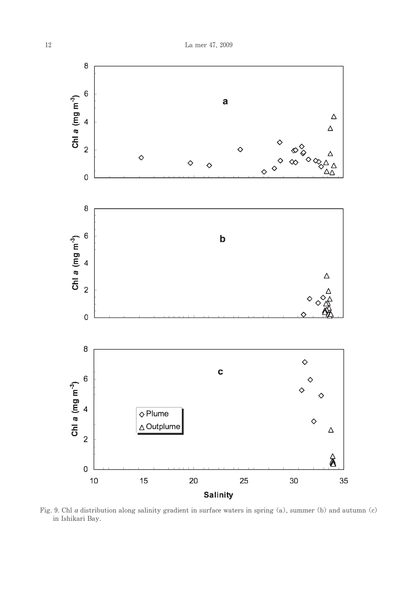

Fig. 9. Chl a distribution along salinity gradient in surface waters in spring (a), summer (b) and autumn (c) in Ishikari Bay.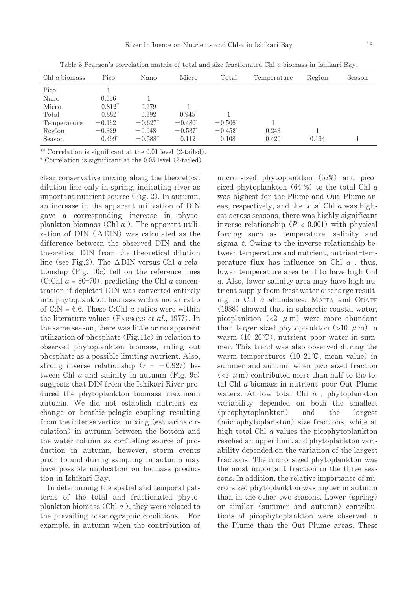| Chl $\alpha$ biomass | Pico                  | Nano                   | Micro                 | Total            | Temperature | Region | Season |
|----------------------|-----------------------|------------------------|-----------------------|------------------|-------------|--------|--------|
| Pico                 |                       |                        |                       |                  |             |        |        |
| Nano                 | 0.056                 |                        |                       |                  |             |        |        |
| Micro                | $0.812$ <sup>**</sup> | 0.179                  |                       |                  |             |        |        |
| Total                | $0.882$ <sup>**</sup> | 0.392                  | $0.945$ "             |                  |             |        |        |
| Temperature          | $-0.162$              | $-0.627$ "             | $-0.480^{\circ}$      | $-0.506^{\circ}$ |             |        |        |
| Region               | $-0.329$              | $-0.048$               | $-0.537$ <sup>*</sup> | $-0.452^*$       | 0.243       |        |        |
| Season               | $0.499^*$             | $-0.588$ <sup>**</sup> | 0.112                 | 0.108            | 0.420       | 0.194  |        |

Table 3 Pearson's correlation matrix of total and size fractionated Chl a biomass in Ishikari Bay.

\*\* Correlation is significant at the 0.01 level (2-tailed).

\* Correlation is significant at the 0.05 level (2-tailed).

clear conservative mixing along the theoretical dilution line only in spring, indicating river as important nutrient source (Fig. 2). In autumn, an increase in the apparent utilization of DIN gave a corresponding increase in phytoplankton biomass (Chl  $a$ ). The apparent utilization of DIN  $( \triangle DIN)$  was calculated as the difference between the observed DIN and the theoretical DIN from the theoretical dilution line (see Fig.2). The  $\triangle$ DIN versus Chl a relationship (Fig. 10c) fell on the reference lines (C:Chl  $a = 30-70$ ), predicting the Chl a concentration if depleted DIN was converted entirely into phytoplankton biomass with a molar ratio of  $C:N = 6.6$ . These C:Chl *a* ratios were within the literature values (PARSONS et al., 1977). In the same season, there was little or no apparent utilization of phosphate (Fig.11c) in relation to observed phytoplankton biomass, ruling out phosphate as a possible limiting nutrient. Also, strong inverse relationship  $(r = -0.927)$  between Chl  $a$  and salinity in autumn (Fig. 9c) suggests that DIN from the Ishikari River produced the phytoplankton biomass maximain autumn. We did not establish nutrient exchange or benthic-pelagic coupling resulting from the intense vertical mixing (estuarine circulation) in autumn between the bottom and the water column as co-fueling source of production in autumn, however, storm events prior to and during sampling in autumn may have possible implication on biomass production in Ishikari Bay.

In determining the spatial and temporal patterns of the total and fractionated phytoplankton biomass (Chl  $a$ ), they were related to the prevailing oceanographic conditions. For example, in autumn when the contribution of micro-sized phytoplankton (57%) and picosized phytoplankton  $(64 %)$  to the total Chl  $a$ was highest for the Plume and Out-Plume areas, respectively, and the total Chl  $\alpha$  was highest across seasons, there was highly significant inverse relationship  $(P < 0.001)$  with physical forcing such as temperature, salinity and sigma-t. Owing to the inverse relationship between temperature and nutrient, nutrient-temperature flux has influence on Chl  $a$ , thus, lower temperature area tend to have high Chl a. Also, lower salinity area may have high nutrient supply from freshwater discharge resulting in Chl  $\alpha$  abundance. MAITA and ODATE (1988) showed that in subarctic coastal water, picoplankton  $\left( < 2 \mu \right)$  were more abundant than larger sized phytoplankton (>10  $\mu$  m) in warm (10-20°C), nutrient-poor water in summer. This trend was also observed during the warm temperatures  $(10-21^{\circ}\text{C})$ , mean value) in summer and autumn when pico-sized fraction  $\left($  <2  $\mu$  m) contributed more than half to the total Chl  $a$  biomass in nutrient-poor Out-Plume waters. At low total Chl  $a$ , phytoplankton variability depended on both the smallest (picophytoplankton) and the largest (microphytoplankton) size fractions, while at high total Chl  $\alpha$  values the picophytoplankton reached an upper limit and phytoplankton variability depended on the variation of the largest fractions. The micro-sized phytoplankton was the most important fraction in the three seasons. In addition, the relative importance of micro-sized phytoplankton was higher in autumn than in the other two seasons. Lower (spring) or similar (summer and autumn) contributions of picophytoplankton were observed in the Plume than the Out-Plume areas. These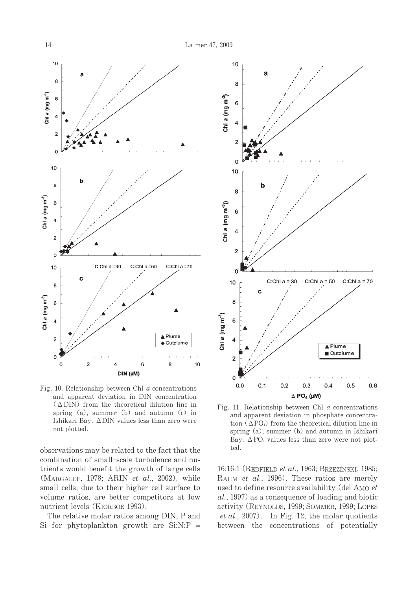

Fig. 10. Relationship between Chl  $a$  concentrations and apparent deviation in DIN concentration  $(\Delta$ DIN) from the theoretical dilution line in spring  $(a)$ , summer  $(b)$  and autumn  $(c)$  in Ishikari Bay. ∆DIN values less than zero were not plotted.

observations may be related to the fact that the combination of small-scale turbulence and nutrients would benefit the growth of large cells (MARGALEF, 1978; ARIN et al., 2002), while small cells, due to their higher cell surface to volume ratios, are better competitors at low nutrient levels (KIORBOE 1993).

The relative molar ratios among DIN, P and Si for phytoplankton growth are Si:N:P =



Fig. 11. Relationship between Chl  $a$  concentrations and apparent deviation in phosphate concentration  $(\Delta PO_4)$  from the theoretical dilution line in spring (a), summer (b) and autumn in Ishikari Bay.  $\Delta PO_4$  values less than zero were not plotted.

16:16:1 (REDFIELD et al., 1963; BRZEZINSKI, 1985; RAHM et al., 1996). These ratios are merely used to define resource availability (del AMO et al., 1997) as a consequence of loading and biotic activity (REYNOLDS, 1999; SOMMER, 1999; LOPES  $et. al., 2007$ ). In Fig. 12, the molar quotients between the concentrations of potentially

14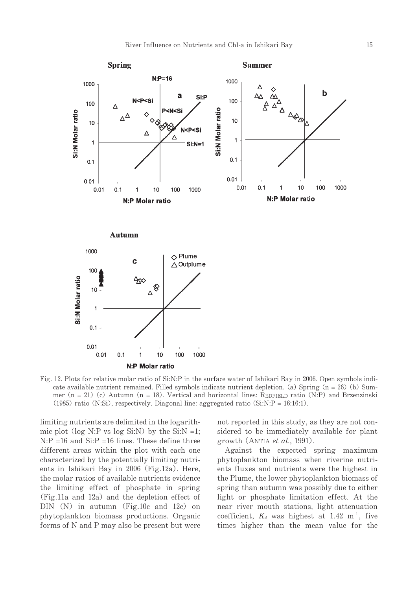

Fig. 12. Plots for relative molar ratio of Si:N:P in the surface water of Ishikari Bay in 2006. Open symbols indicate available nutrient remained. Filled symbols indicate nutrient depletion. (a) Spring  $(n = 26)$  (b) Summer ( $n = 21$ ) (c) Autumn ( $n = 18$ ). Vertical and horizontal lines: REDFIELD ratio (N:P) and Brzenzinski  $(1985)$  ratio (N:Si), respectively. Diagonal line: aggregated ratio (Si:N:P = 16:16:1).

limiting nutrients are delimited in the logarithmic plot (log N:P vs log Si:N) by the Si:N =1;  $N: P = 16$  and  $Si: P = 16$  lines. These define three different areas within the plot with each one characterized by the potentially limiting nutrients in Ishikari Bay in 2006 (Fig.12a). Here, the molar ratios of available nutrients evidence the limiting effect of phosphate in spring  $(Fig.11a$  and  $12a)$  and the depletion effect of  $DIN(N)$  in autumn (Fig.10c and 12c) on phytoplankton biomass productions. Organic forms of N and P may also be present but were not reported in this study, as they are not considered to be immediately available for plant growth (ANTIA et al., 1991).

Against the expected spring maximum phytoplankton biomass when riverine nutrients fluxes and nutrients were the highest in the Plume, the lower phytoplankton biomass of spring than autumn was possibly due to either light or phosphate limitation effect. At the near river mouth stations, light attenuation coefficient,  $K_d$  was highest at 1.42 m<sup>-1</sup>, five times higher than the mean value for the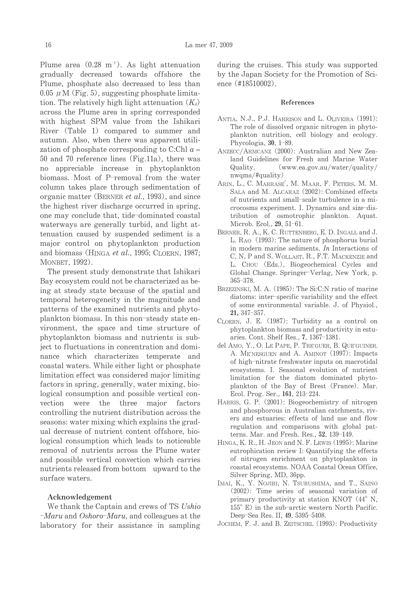Plume area  $(0.28 \text{ m}^{-1})$ . As light attenuation gradually decreased towards offshore the Plume, phosphate also decreased to less than  $0.05 \mu M$  (Fig. 5), suggesting phosphate limitation. The relatively high light attenuation  $(K_d)$ across the Plume area in spring corresponded with highest SPM value from the Ishikari River (Table 1) compared to summer and autumn. Also, when there was apparent utilization of phosphate corresponding to C:Chl  $a =$ 50 and 70 reference lines (Fig.11a), there was no appreciable increase in phytoplankton biomass. Most of P-removal from the water column takes place through sedimentation of organic matter (BERNER *et al.*, 1993), and since the highest river discharge occurred in spring, one may conclude that, tide-dominated coastal waterways are generally turbid, and light attenuation caused by suspended sediment is a major control on phytoplankton production and biomass (HINGA et al., 1995; CLOERN, 1987; MONBET, 1992).

The present study demonstrate that Ishikari Bay ecosystem could not be characterized as being at steady state because of the spatial and temporal heterogeneity in the magnitude and patterns of the examined nutrients and phytoplankton biomass. In this non-steady state environment, the space and time structure of phytoplankton biomass and nutrients is subject to fluctuations in concentration and dominance which characterizes temperate and coastal waters. While either light or phosphate limitation effect was considered major limiting factors in spring, generally, water mixing, biological consumption and possible vertical convection were the three major factors controlling the nutrient distribution across the seasons: water mixing which explains the gradual decrease of nutrient content offshore, biological consumption which leads to noticeable removal of nutrients across the Plume water and possible vertical convection which carries nutrients released from bottom upward to the surface waters.

#### Acknowledgement

We thank the Captain and crews of TS Ushio  $-Maru$  and Oshoro-Maru, and colleagues at the laboratory for their assistance in sampling

during the cruises. This study was supported by the Japan Society for the Promotion of Science (#18510002).

#### References

- ANTIA, N.J., P.J. HARRISON and L. OLIVEIRA (1991): The role of dissolved organic nitrogen in phytoplankton nutrition, cell biology and ecology. Phycologia, 30, 1-89.
- ANZECC/ARMCANZ (2000): Australian and New Zealand Guidelines for Fresh and Marine Water (www.ea.gov.au/water/quality/  $\Omega$ uality.  $nwqms/\text{\#quality}$
- ARIN, L., C. MARRASE', M. MAAR, F. PETERS, M. M. SALA and M. ALCARAZ (2002): Combined effects of nutrients and small-scale turbulence in a microcosms experiment. I. Dynamics and size-distribution of osmotrophic plankton. Aquat. Microb. Ecol., 29, 51-61.
- BERNER, R. A., K. C. RUTTENBERG, E. D. INGALL and J. L. RAO (1993): The nature of phosphorus burial in modern marine sediments. In Interactions of C, N, P and S. WOLLAST, R., F.T. MACKENZIE and L. CHOU (Eds.), Biogeochemical Cycles and Global Change. Springer-Verlag, New York, p.  $365 - 378.$
- BRZEZINSKI, M. A. (1985): The Si:C:N ratio of marine diatoms: inter-specific variability and the effect of some environmental variable. J. of Physiol., 21, 347-357.
- CLOERN, J. E. (1987): Turbidity as a control on phytoplankton biomass and productivity in estuaries. Cont. Shelf Res., 7, 1367-1381.
- del AMO, Y., O. LE PAPE, P. TRE'GUER, B. QUE'GUINER, A. ME'NESGUEN and A. AMINOT (1997): Impacts of high-nitrate freshwater inputs on macrotidal ecosystems. I. Seasonal evolution of nutrient limitation for the diatom dominated phytoplankton of the Bay of Brest (France). Mar. Ecol. Prog. Ser., 161, 213-224.
- HARRIS, G. P. (2001): Biogeochemistry of nitrogen and phosphorous in Australian catchments, rivers and estuaries: effects of land use and flow regulation and comparisons with global patterns. Mar. and Fresh. Res., 52, 139-149.
- HINGA, K. R., H. JEON and N. F. LEWIS (1995): Marine eutrophication review I: Quantifying the effects of nitrogen enrichment on phytoplankton in coastal ecosystems. NOAA Coastal Ocean Office, Silver Spring, MD, 36pp.
- IMAI, K., Y. NOJIRI, N. TSURUSHIMA, and T., SAINO (2002): Time series of seasonal variation of primary productivity at station KNOT (44° N,  $155^{\circ}$  E) in the sub-arctic western North Pacific. Deep-Sea Res. II, 49, 5395-5408.
- JOCHEM, F. J. and B. ZEITSCHEL (1993): Productivity